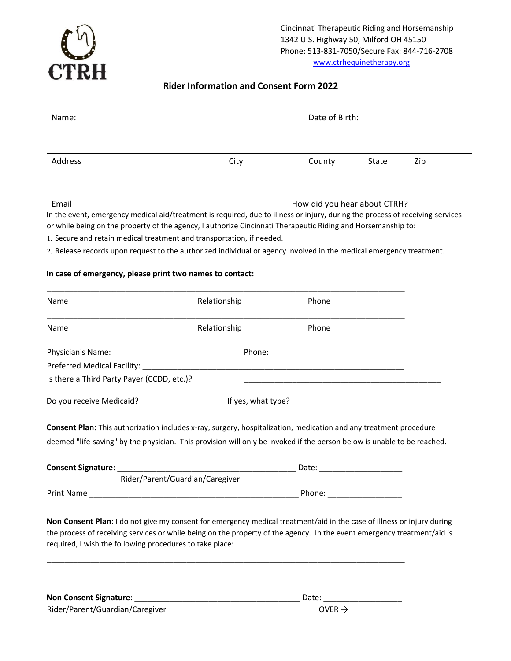

Cincinnati Therapeutic Riding and Horsemanship 1342 U.S. Highway 50, Milford OH 45150 Phone: 513-831-7050/Secure Fax: 844-716-2708 www.ctrhequinetherapy.org

# **Rider Information and Consent Form 2022**

| Name:                                                    |                                                                                                                                                                                       | Date of Birth:                                                                            |       |     |
|----------------------------------------------------------|---------------------------------------------------------------------------------------------------------------------------------------------------------------------------------------|-------------------------------------------------------------------------------------------|-------|-----|
|                                                          |                                                                                                                                                                                       |                                                                                           |       |     |
| Address                                                  | City                                                                                                                                                                                  | County                                                                                    | State | Zip |
| Email                                                    |                                                                                                                                                                                       | How did you hear about CTRH?                                                              |       |     |
|                                                          | In the event, emergency medical aid/treatment is required, due to illness or injury, during the process of receiving services                                                         |                                                                                           |       |     |
|                                                          | or while being on the property of the agency, I authorize Cincinnati Therapeutic Riding and Horsemanship to:<br>1. Secure and retain medical treatment and transportation, if needed. |                                                                                           |       |     |
|                                                          | 2. Release records upon request to the authorized individual or agency involved in the medical emergency treatment.                                                                   |                                                                                           |       |     |
| In case of emergency, please print two names to contact: |                                                                                                                                                                                       |                                                                                           |       |     |
|                                                          |                                                                                                                                                                                       |                                                                                           |       |     |
| Name                                                     | Relationship                                                                                                                                                                          | Phone                                                                                     |       |     |
| Name                                                     | Relationship                                                                                                                                                                          | Phone                                                                                     |       |     |
|                                                          |                                                                                                                                                                                       |                                                                                           |       |     |
|                                                          |                                                                                                                                                                                       |                                                                                           |       |     |
| Is there a Third Party Payer (CCDD, etc.)?               |                                                                                                                                                                                       | the control of the control of the control of the control of the control of the control of |       |     |
| Do you receive Medicaid? ______________                  |                                                                                                                                                                                       |                                                                                           |       |     |
|                                                          | Consent Plan: This authorization includes x-ray, surgery, hospitalization, medication and any treatment procedure                                                                     |                                                                                           |       |     |
|                                                          | deemed "life-saving" by the physician. This provision will only be invoked if the person below is unable to be reached.                                                               |                                                                                           |       |     |
|                                                          | Consent Signature: National Accounts of the Consent Signature:                                                                                                                        |                                                                                           |       |     |
|                                                          | Rider/Parent/Guardian/Caregiver                                                                                                                                                       |                                                                                           |       |     |
|                                                          |                                                                                                                                                                                       | Phone: <u>___________________________</u>                                                 |       |     |
|                                                          | Non Consent Plan: I do not give my consent for emergency medical treatment/aid in the case of illness or injury during                                                                |                                                                                           |       |     |
|                                                          | the process of receiving services or while being on the property of the agency. In the event emergency treatment/aid is                                                               |                                                                                           |       |     |
| required, I wish the following procedures to take place: |                                                                                                                                                                                       |                                                                                           |       |     |
|                                                          |                                                                                                                                                                                       |                                                                                           |       |     |
|                                                          |                                                                                                                                                                                       |                                                                                           |       |     |
| Rider/Parent/Guardian/Caregiver                          |                                                                                                                                                                                       | OVER $\rightarrow$                                                                        |       |     |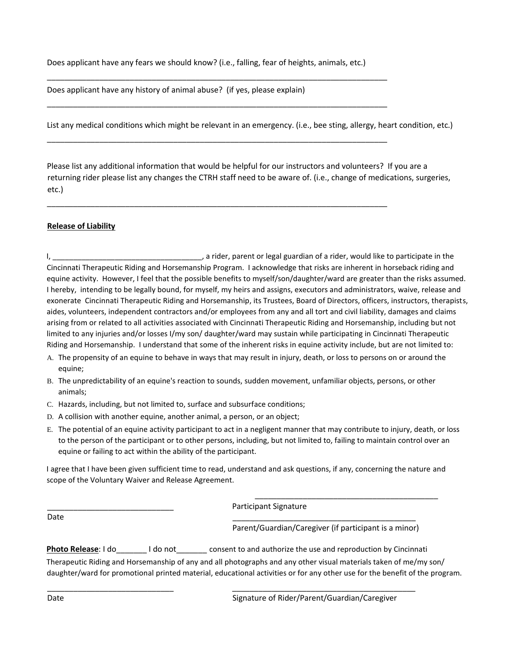Does applicant have any fears we should know? (i.e., falling, fear of heights, animals, etc.)

\_\_\_\_\_\_\_\_\_\_\_\_\_\_\_\_\_\_\_\_\_\_\_\_\_\_\_\_\_\_\_\_\_\_\_\_\_\_\_\_\_\_\_\_\_\_\_\_\_\_\_\_\_\_\_\_\_\_\_\_\_\_\_\_\_\_\_\_\_\_\_\_\_\_\_\_\_\_

\_\_\_\_\_\_\_\_\_\_\_\_\_\_\_\_\_\_\_\_\_\_\_\_\_\_\_\_\_\_\_\_\_\_\_\_\_\_\_\_\_\_\_\_\_\_\_\_\_\_\_\_\_\_\_\_\_\_\_\_\_\_\_\_\_\_\_\_\_\_\_\_\_\_\_\_\_\_

\_\_\_\_\_\_\_\_\_\_\_\_\_\_\_\_\_\_\_\_\_\_\_\_\_\_\_\_\_\_\_\_\_\_\_\_\_\_\_\_\_\_\_\_\_\_\_\_\_\_\_\_\_\_\_\_\_\_\_\_\_\_\_\_\_\_\_\_\_\_\_\_\_\_\_\_\_\_

\_\_\_\_\_\_\_\_\_\_\_\_\_\_\_\_\_\_\_\_\_\_\_\_\_\_\_\_\_\_\_\_\_\_\_\_\_\_\_\_\_\_\_\_\_\_\_\_\_\_\_\_\_\_\_\_\_\_\_\_\_\_\_\_\_\_\_\_\_\_\_\_\_\_\_\_\_\_

Does applicant have any history of animal abuse? (if yes, please explain)

List any medical conditions which might be relevant in an emergency. (i.e., bee sting, allergy, heart condition, etc.)

Please list any additional information that would be helpful for our instructors and volunteers? If you are a returning rider please list any changes the CTRH staff need to be aware of. (i.e., change of medications, surgeries, etc.)

## **Release of Liability**

I, \_\_\_\_\_\_\_\_\_\_\_\_\_\_\_\_\_\_\_\_\_\_\_\_\_\_\_\_\_\_\_\_\_\_\_\_, a rider, parent or legal guardian of a rider, would like to participate in the Cincinnati Therapeutic Riding and Horsemanship Program. I acknowledge that risks are inherent in horseback riding and equine activity. However, I feel that the possible benefits to myself/son/daughter/ward are greater than the risks assumed. I hereby, intending to be legally bound, for myself, my heirs and assigns, executors and administrators, waive, release and exonerate Cincinnati Therapeutic Riding and Horsemanship, its Trustees, Board of Directors, officers, instructors, therapists, aides, volunteers, independent contractors and/or employees from any and all tort and civil liability, damages and claims arising from or related to all activities associated with Cincinnati Therapeutic Riding and Horsemanship, including but not limited to any injuries and/or losses I/my son/ daughter/ward may sustain while participating in Cincinnati Therapeutic Riding and Horsemanship. I understand that some of the inherent risks in equine activity include, but are not limited to:

- A. The propensity of an equine to behave in ways that may result in injury, death, or loss to persons on or around the equine;
- B. The unpredictability of an equine's reaction to sounds, sudden movement, unfamiliar objects, persons, or other animals;
- C. Hazards, including, but not limited to, surface and subsurface conditions;
- D. A collision with another equine, another animal, a person, or an object;
- E. The potential of an equine activity participant to act in a negligent manner that may contribute to injury, death, or loss to the person of the participant or to other persons, including, but not limited to, failing to maintain control over an equine or failing to act within the ability of the participant.

I agree that I have been given sufficient time to read, understand and ask questions, if any, concerning the nature and scope of the Voluntary Waiver and Release Agreement.

Date \_\_\_\_\_\_\_\_\_\_\_\_\_\_\_\_\_\_\_\_\_\_\_\_\_\_\_\_\_\_\_\_\_\_\_\_\_\_\_\_\_\_

\_\_\_\_\_\_\_\_\_\_\_\_\_\_\_\_\_\_\_\_\_\_\_\_\_\_\_\_\_ \_\_\_\_\_\_\_\_\_\_\_\_\_\_\_\_\_\_\_\_\_\_\_\_\_\_\_\_\_\_\_\_\_\_\_\_\_\_\_\_\_\_

Participant Signature

Parent/Guardian/Caregiver (if participant is a minor)

\_\_\_\_\_\_\_\_\_\_\_\_\_\_\_\_\_\_\_\_\_\_\_\_\_\_\_\_\_\_\_\_\_\_\_\_\_\_\_\_\_\_

**Photo Release**: I do \_\_\_\_\_\_ I do not \_\_\_\_\_\_\_ consent to and authorize the use and reproduction by Cincinnati Therapeutic Riding and Horsemanship of any and all photographs and any other visual materials taken of me/my son/ daughter/ward for promotional printed material, educational activities or for any other use for the benefit of the program.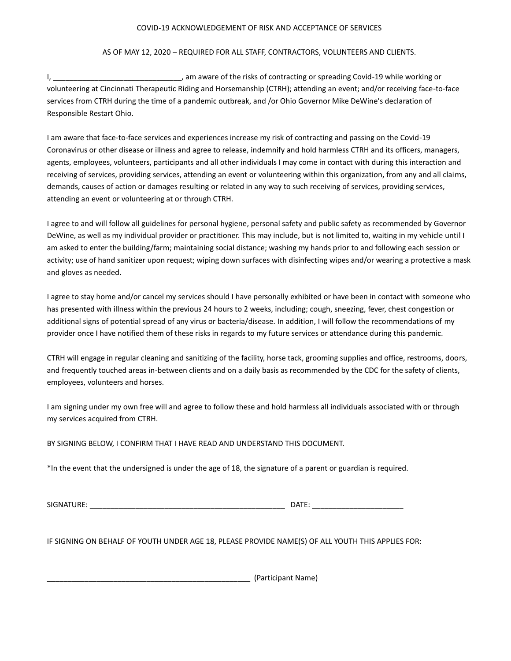#### COVID-19 ACKNOWLEDGEMENT OF RISK AND ACCEPTANCE OF SERVICES

## AS OF MAY 12, 2020 – REQUIRED FOR ALL STAFF, CONTRACTORS, VOLUNTEERS AND CLIENTS.

I, \_\_\_\_\_\_\_\_\_\_\_\_\_\_\_\_\_\_\_\_\_\_\_\_\_\_\_\_\_\_\_\_\_, am aware of the risks of contracting or spreading Covid-19 while working or volunteering at Cincinnati Therapeutic Riding and Horsemanship (CTRH); attending an event; and/or receiving face-to-face services from CTRH during the time of a pandemic outbreak, and /or Ohio Governor Mike DeWine's declaration of Responsible Restart Ohio.

I am aware that face-to-face services and experiences increase my risk of contracting and passing on the Covid-19 Coronavirus or other disease or illness and agree to release, indemnify and hold harmless CTRH and its officers, managers, agents, employees, volunteers, participants and all other individuals I may come in contact with during this interaction and receiving of services, providing services, attending an event or volunteering within this organization, from any and all claims, demands, causes of action or damages resulting or related in any way to such receiving of services, providing services, attending an event or volunteering at or through CTRH.

I agree to and will follow all guidelines for personal hygiene, personal safety and public safety as recommended by Governor DeWine, as well as my individual provider or practitioner. This may include, but is not limited to, waiting in my vehicle until I am asked to enter the building/farm; maintaining social distance; washing my hands prior to and following each session or activity; use of hand sanitizer upon request; wiping down surfaces with disinfecting wipes and/or wearing a protective a mask and gloves as needed.

I agree to stay home and/or cancel my services should I have personally exhibited or have been in contact with someone who has presented with illness within the previous 24 hours to 2 weeks, including; cough, sneezing, fever, chest congestion or additional signs of potential spread of any virus or bacteria/disease. In addition, I will follow the recommendations of my provider once I have notified them of these risks in regards to my future services or attendance during this pandemic.

CTRH will engage in regular cleaning and sanitizing of the facility, horse tack, grooming supplies and office, restrooms, doors, and frequently touched areas in-between clients and on a daily basis as recommended by the CDC for the safety of clients, employees, volunteers and horses.

I am signing under my own free will and agree to follow these and hold harmless all individuals associated with or through my services acquired from CTRH.

BY SIGNING BELOW, I CONFIRM THAT I HAVE READ AND UNDERSTAND THIS DOCUMENT.

\*In the event that the undersigned is under the age of 18, the signature of a parent or guardian is required.

SIGNATURE: \_\_\_\_\_\_\_\_\_\_\_\_\_\_\_\_\_\_\_\_\_\_\_\_\_\_\_\_\_\_\_\_\_\_\_\_\_\_\_\_\_\_\_\_\_\_\_ DATE: \_\_\_\_\_\_\_\_\_\_\_\_\_\_\_\_\_\_\_\_\_\_

IF SIGNING ON BEHALF OF YOUTH UNDER AGE 18, PLEASE PROVIDE NAME(S) OF ALL YOUTH THIS APPLIES FOR:

\_\_\_\_\_\_\_\_\_\_\_\_\_\_\_\_\_\_\_\_\_\_\_\_\_\_\_\_\_\_\_\_\_\_\_\_\_\_\_\_\_\_\_\_\_\_\_\_\_ (Participant Name)